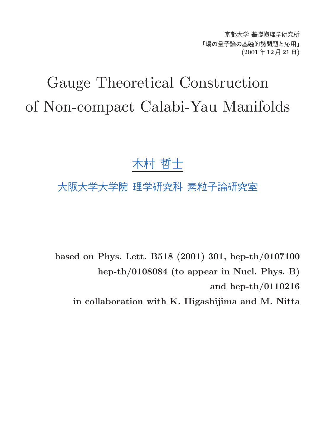京都大学 基礎物理学研究所 「場の量子論の基礎的諸問題と応用」 (2001 年 12 月 21 日)

# Gauge Theoretical Construction of Non-compact Calabi-Yau Manifolds

# 木村 哲士

# 大阪大学大学院 理学研究科 素粒子論研究室

based on Phys. Lett. B518 (2001) 301, hep-th/0107100 hep-th/0108084 (to appear in Nucl. Phys. B) and hep-th/0110216

in collaboration with K. Higashijima and M. Nitta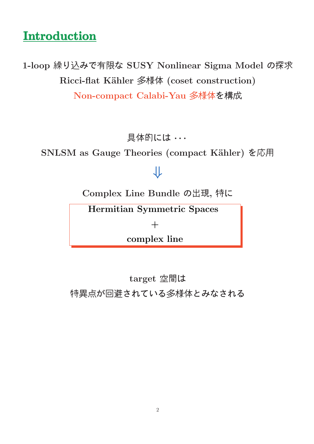# **Introduction**

1-loop 繰り込みで有限な SUSY Nonlinear Sigma Model の探求 Ricci-flat Kähler 多様体 (coset construction) Non-compact Calabi-Yau 多様体を構成

具体的には · · ·

SNLSM as Gauge Theories (compact Kähler) を応用

# ⇓

Complex Line Bundle の出現, 特に

Hermitian Symmetric Spaces

 $+$ 

complex line

target 空間は 特異点が回避されている多様体とみなされる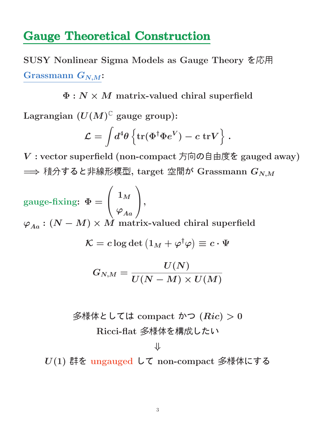## Gauge Theoretical Construction

SUSY Nonlinear Sigma Models as Gauge Theory を応用 Grassmann  $G_{N,M}$ :

 $\Phi: N \times M$  matrix-valued chiral superfield

Lagrangian  $(U(M)^{\mathbb{C}}$  gauge group):

$$
\mathcal{L} = \int \! d^4 \theta \left\{ \text{tr}(\Phi^\dagger \Phi e^V) - c \; \text{tr} V \right\} \, .
$$

V : vector superfield (non-compact 方向の自由度を gauged away)  $\implies$  積分すると非線形模型, target 空間が Grassmann  $G_{N,M}$ 

$$
\begin{aligned} \text{gauge-fixing: } \ \Phi & = \begin{pmatrix} 1_M \\ \varphi_{Aa} \end{pmatrix}, \\ \varphi_{Aa} : (N-M) \times M \ \text{matrix-valued chiral superfield} \\ \mathcal{K} & = c \log \det \left( 1_M + \varphi^\dagger \varphi \right) \equiv c \cdot \Psi \\ \\ G_{N,M} & = \frac{U(N)}{U(N-M) \times U(M)} \end{aligned}
$$

多様体としては compact かつ  $(Ric) > 0$ Ricci-flat 多様体を構成したい

⇓

U(1) 群を ungauged して non-compact 多様体にする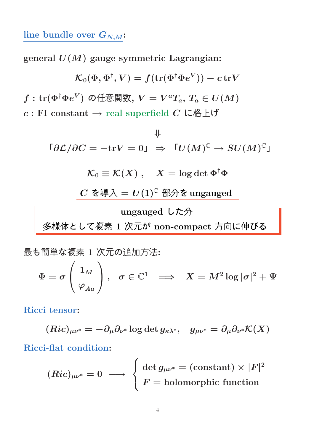#### line bundle over  $G_{N,M}$ :

general  $U(M)$  gauge symmetric Lagrangian:

$$
\mathcal{K}_0(\Phi, \Phi^\dagger, V) = f(\text{tr}(\Phi^\dagger \Phi e^V)) - c \, \text{tr} V
$$
\n
$$
f: \text{tr}(\Phi^\dagger \Phi e^V) \text{ on } \mathbb{H} \otimes \mathbb{H} \otimes \mathbb{H}, V = V^a T_a, T_a \in U(M)
$$
\n
$$
c: \text{FI constant} \to \text{real superfield } C \text{ L\'E\'L\'i}
$$

 $\lceil \partial \mathcal{L} / \partial C = -\text{tr} V = 0$ 」 $\Rightarrow \ \ \ulcorner U(M)^{\mathbb{C}} \to SU(M)^{\mathbb{C}}$ 」

$$
\mathcal{K}_0 \equiv \mathcal{K}(X) \; , \quad X = \log \det \Phi^{\dagger} \Phi
$$

 $C$  を導入 =  $U(1)^{\mathbb{C}}$  部分を ungauged

ungauged した分 多様体として複素 1 次元が non-compact 方向に伸びる

最も簡単な複素 1 次元の追加方法:  $\Phi=\sigma$  $\sqrt{ }$  $\mathbf{I}$  $\mathbf{1}_M$  $\overline{\varphi}_{Aa}$  $\sqrt{2}$  $\bigg|\;,\;\;\sigma\in\mathbb{C}^1\;\;\implies\;\;X=M^2\log|\sigma|^2+\Psi\bigg|$ 

Ricci tensor:

$$
(Ric)_{\mu\nu^*}=-\partial_\mu\partial_{\nu^*}\log\det g_{\kappa\lambda^*},\ \ \, g_{\mu\nu^*}=\partial_\mu\partial_{\nu^*}\mathcal{K}(X)
$$

Ricci-flat condition:

$$
(Ric)_{\mu\nu^*} = 0 \ \longrightarrow \ \left\{ \begin{aligned} &\text{det}\,g_{\mu\nu^*} = (\text{constant})\times |F|^2 \\ &F = \text{holomorphic function} \end{aligned} \right.
$$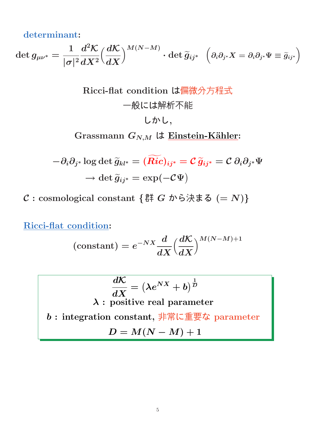determinant:

 $\det g_{\mu\nu^*} =$ 1  $|\sigma|^2$  $\frac{d^2\mathcal{K}}{dt}$  $dX^2$  $\int \frac{d\mathcal{K}}{d\mathcal{K}}$  $dX$  $\bigwedge^{} M(N-M)$  $\cdot \det \widetilde{g}_{ij^*}$  $\overline{1}$  $\partial_i\partial_{j^*}X=\partial_i\partial_{j^*}\Psi\equiv \widetilde{g}_{ij^*}$  $\overline{ }$ 

Ricci-flat condition は価微分方種式  
\n
$$
-\Re
$$
には解が不能  
\n $\cup$  かし,

\nGrassmann  $G_{N,M}$ は [Einstein-Kähler](mailto:Einstein-Kähler):

$$
-\partial_i \partial_{j^*} \log \det \widetilde{g}_{kl^*} = (\widetilde{Ric})_{ij^*} = \mathcal{C} \, \widetilde{g}_{ij^*} = \mathcal{C} \, \partial_i \partial_{j^*} \Psi
$$

$$
\rightarrow \det \widetilde{g}_{ij^*} = \exp(-\mathcal{C}\Psi)
$$

 $C:$  cosmological constant {群 G から決まる (= N)}

Ricci-flat condition:

$$
\left(\text{constant}\right)=e^{-NX}\frac{d}{dX}{\left(\frac{d\mathcal{K}}{dX}\right)^{M\left(N-M\right)+1}}
$$

dK dX = λeNX + b 1 D λ : positive real parameter b : integration constant, 非常に重要な parameter D = M(N − M) + 1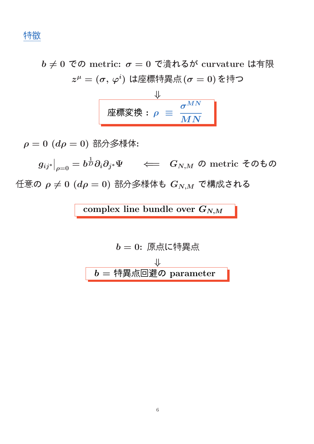特徴

 $b \neq 0$  での metric:  $\sigma = 0$  で潰れるが curvature は有限  $z^\mu = (\sigma,\,\varphi^i)$  は座標特異点 $(\sigma=0)$  を持つ

$$
\frac{\Downarrow}{\text{Phi} \times \text{Phi} : \rho \equiv \frac{\sigma^{MN}}{MN}}
$$

 $\rho = 0$   $(d\rho = 0)$  部分多様体:

 $g_{ij^*}\big|$  $\big\vert_{\rho=0}=b$ 1  $\bar{D}\partial_i\partial_{j^*}\Psi \quad \iff \; G_{N,M} \; \mathcal{O} \; \text{metric} \;$ そのもの 任意の  $\rho \neq 0$   $(d\rho = 0)$  部分多様体も  $G_{N,M}$  で構成される

complex line bundle over  $G_{N,M}$ 

$$
b = 0: 原点に特異点\n
$$
b = ①: ③\sqrt{25}
$$
\n
$$
b = ⑧\sqrt{25}
$$
\n
$$
b = ③\sqrt{25}
$$
\n
$$
b = ③\sqrt{25}
$$
$$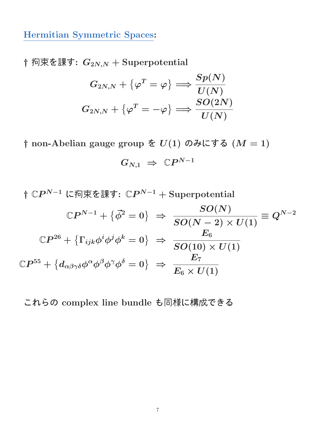Hermitian Symmetric Spaces:

† 拘束を課す:  $G_{2N,N}$  + Superpotential

$$
G_{2N,N} + \{ \varphi^T = \varphi \} \Longrightarrow \frac{Sp(N)}{U(N)}\\ G_{2N,N} + \{ \varphi^T = -\varphi \} \Longrightarrow \frac{SO(2N)}{U(N)}
$$

† non-Abelian gauge group を  $U(1)$  のみにする  $(M = 1)$ 

$$
G_{N,1}\ \Rightarrow\ \mathbb{C}P^{N-1}
$$

†  $\mathbb{C}P^{N-1}$  に拘束を課す:  $\mathbb{C}P^{N-1} + \text{Superpotential}$  $\mathbb{C}P^{N-1}+\left\{\vec{\phi}^2=0\right\} \;\Rightarrow\; \frac{SO(N)}{SO(N-2)\;\times}$  $SO(N-2)\times U(1)$  $\equiv Q^{N-2}$  $\mathbb{C}P^{26}+\left\{\Gamma_{ijk}\phi^{i}\phi^{j}\phi^{k}=0\right\}\ \Rightarrow\ \frac{E_{6}}{\text{SO}(10)}\,,$  $SO(10)\times U(1)$  $\mathbb{C}P^{55}+\left\{d_{\alpha\beta\gamma\delta}\phi^{\alpha}\phi^{\beta}\phi^{\gamma}\phi^{\delta}=0\right\} \;\Rightarrow\;\frac{E_{7}}{E_{\alpha}\times I}$  $E_6 \times U(1)$ 

これらの complex line bundle も同様に構成できる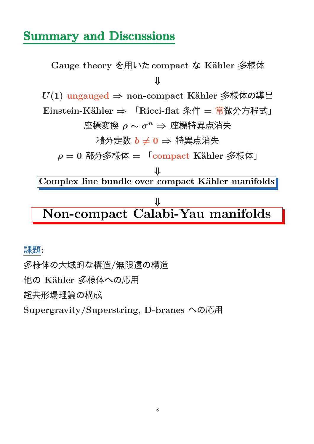# Summary and Discussions

Gauge theory を用いた compact な Kähler 多様体 ⇓  $U(1)$  ungauged  $\Rightarrow$  non-compact Kähler 多様体の導出 Einstein-Kähler ⇒ 「Ricci-flat 条件 = 常微分方程式」 座標変換  $\rho \sim \sigma^n \Rightarrow$  座標特異点消失 積分定数  $b \neq 0$  ⇒ 特異点消失  $\rho = 0$  部分多様体 =  $\Gamma$ compact Kähler 多様体」 ⇓ Complex line bundle over compact Kähler manifolds ⇓ Non-compact Calabi-Yau manifolds

#### 課題:

多様体の大域的な構造/無限遠の構造 他の Kähler 多様体への応用 超共形場理論の構成 Supergravity/Superstring, D-branes への応用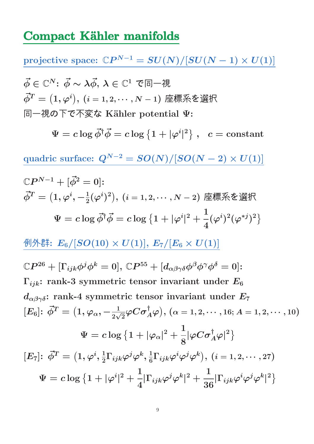### Compact Kähler manifolds

 $\text{projective space: } \mathbb{C}P^{N-1} = SU(N)/[SU(N-1)\times U(1)]$ 

$$
\vec{\phi} \in \mathbb{C}^N
$$
: 
$$
\vec{\phi} \sim \lambda \vec{\phi}, \lambda \in \mathbb{C}^1
$$
で同一視  

$$
\vec{\phi}^T = (1, \varphi^i), (i = 1, 2, \dots, N - 1)
$$
座

 $\Psi = c \log \vec{\phi}^{\dagger} \vec{\phi} = c \log \left\{ 1 + |\varphi^i| \right\}$ |  $\left\{ \begin{array}{ll} 2 \end{array} \right\} \, , \,\,\,\, c = \hbox{constant}$ 

quadric surface:  $Q^{N-2} = SO(N)/[SO(N-2) \times U(1)]$ 

$$
\mathbb{C}P^{N-1} + [\vec{\phi}^2 = 0]:
$$
\n
$$
\vec{\phi}^T = (1, \varphi^i, -\frac{1}{2}(\varphi^i)^2), (i = 1, 2, \dots, N-2) \ncong \stackrel{\text{#}}{\text{#}}\approx \hat{\mathcal{E}} \ncong \text{H}
$$
\n
$$
\Psi = c \log \vec{\phi}^\dagger \vec{\phi} = c \log \left\{ 1 + |\varphi^i|^2 + \frac{1}{4} (\varphi^i)^2 (\varphi^{*j})^2 \right\}
$$

例外群:  $E_6/[SO(10) \times U(1)], E_7/[E_6 \times U(1)]$ 

$$
\mathbb{C}P^{26} + [\Gamma_{ijk}\phi^j\phi^k = 0], \mathbb{C}P^{55} + [d_{\alpha\beta\gamma\delta}\phi^{\beta}\phi^{\gamma}\phi^{\delta} = 0]:
$$
  
\n
$$
\Gamma_{ijk}: \text{ rank-3 symmetric tensor invariant under } E_6
$$
  
\n
$$
d_{\alpha\beta\gamma\delta}: \text{rank-4 symmetric tensor invariant under } E_7
$$
  
\n
$$
[E_6]: \vec{\phi}^T = (1, \varphi_\alpha, -\frac{1}{2\sqrt{2}}\varphi C \sigma_A^{\dagger}\varphi), (\alpha = 1, 2, \dots, 16; A = 1, 2, \dots, 10)
$$
  
\n
$$
\Psi = c \log \{1 + |\varphi_\alpha|^2 + \frac{1}{8}|\varphi C \sigma_A^{\dagger}\varphi|^2\}
$$
  
\n
$$
[E_7]: \vec{\phi}^T = (1, \varphi^i, \frac{1}{2}\Gamma_{ijk}\varphi^j\varphi^k, \frac{1}{6}\Gamma_{ijk}\varphi^i\varphi^j\varphi^k), (i = 1, 2, \dots, 27)
$$
  
\n
$$
\Psi = c \log \{1 + |\varphi^i|^2 + \frac{1}{4}|\Gamma_{ijk}\varphi^j\varphi^k|^2 + \frac{1}{36}|\Gamma_{ijk}\varphi^i\varphi^j\varphi^k|^2\}
$$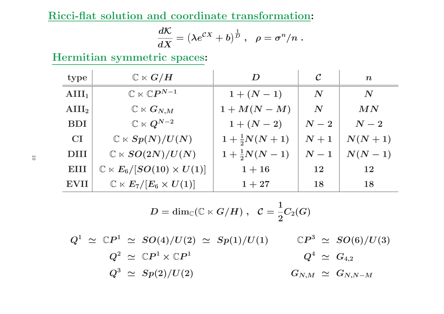Ricci-flat solution and coordinate transformation:

$$
\frac{d{\cal K}}{dX}=\left(\lambda e^{{\cal C}X}+b\right)^{\frac{1}{D}}\,,\ \ \rho=\sigma^n/n\;.
$$

Hermitian symmetric spaces:

| type            | $\mathbb{C}\ltimes G/H$                         | D                     | $\cal C$           | $\boldsymbol{n}$   |
|-----------------|-------------------------------------------------|-----------------------|--------------------|--------------------|
| $\text{AIII}_1$ | $\mathbb{C}\ltimes \mathbb{C}P^{N-1}$           | $1 + (N - 1)$         | $\boldsymbol{N}$   | $\boldsymbol{N}$   |
| $\text{AIII}_2$ | $\mathbb{C}\ltimes G_{N,M}$                     | $1+M(N-M)$            | $\boldsymbol{N}$   | MN                 |
| <b>BDI</b>      | $\mathbb{C}\ltimes Q^{N-2}$                     | $1 + (N - 2)$         | $\boldsymbol{N-2}$ | $\boldsymbol{N-2}$ |
| CI              | $\mathbb{C} \ltimes Sp(N)/U(N)$                 | $1+\frac{1}{2}N(N+1)$ | $N+1$              | $N(N+1)$           |
| <b>DIII</b>     | $\mathbb{C} \ltimes SO(2N)/U(N)$                | $1+\frac{1}{2}N(N-1)$ | $\boldsymbol{N-1}$ | $N(N-1)$           |
| EIII            | $\mathbb{C} \ltimes E_6 / [SO(10) \times U(1)]$ | $1 + 16$              | 12                 | 12                 |
| <b>EVII</b>     | $\mathbb{C}\ltimes E_7/[E_6\times U(1)]$        | $1 + 27$              | 18                 | 18                 |

$$
D = \dim_{\mathbb{C}}(\mathbb{C} \ltimes G/H) \,\, , \ \ \mathcal{C} = \frac{1}{2}C_2(G)
$$

 $Q^1 \,\, \simeq \,\, \mathbb{C}P^1 \,\, \simeq \,\, SO(4)/U(2) \,\, \simeq \,\, Sp(1)/U(1)$  $Q^2 \,\, \simeq \,\, \mathbb{C}P^1 \times \mathbb{C}P^1$  $\mathbb{C}P^3 \ \simeq \ SO(6)/U(3)$  $Q^3 \,\,\simeq\,\, Sp(2)/U(2)$  $Q^4 \,\, \simeq \,\, G_{4,2}$  $G_{N,M}\;\simeq\;G_{N,N-M}$ 

10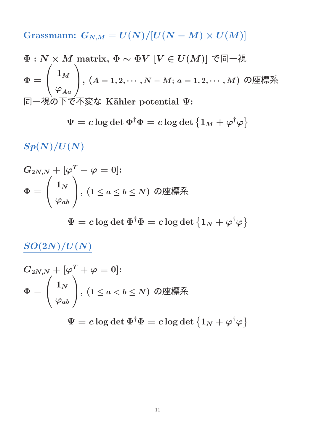Grassmann:  $G_{N,M} = U(N)/[U(N-M) \times U(M)]$ 

$$
\Phi: N \times M \text{ matrix, } \Phi \sim \Phi V \ [V \in U(M)] \text{ } \mathfrak{S} \Box \negthinspace \mathcal{H}
$$
\n
$$
\Phi = \begin{pmatrix} 1_M \\ \varphi_{Aa} \end{pmatrix}, (A = 1, 2, \cdots, N - M; a = 1, 2, \cdots, M) \text{ } \mathcal{O} \text{ } \underline{\mathcal{H}} \underline{\mathcal{R}} \underline{\mathcal{R}}
$$
\n
$$
\Box \negthinspace \Box \Box \Phi \mathcal{D} \overline{\mathcal{T}} \overline{\mathcal{C}} \overline{\mathcal{K}} \underline{\mathcal{R}} \underline{\mathcal{K}} \text{ } \text{ Kähler potential } \Psi:
$$

$$
\Psi = c \log \det \Phi^\dagger \Phi = c \log \det \left\{ 1_M + \varphi^\dagger \varphi \right\}
$$

 $\frac{Sp(N)/U(N)}{D}$ 

$$
G_{2N,N}+[\varphi^T-\varphi=0]\!:\newline\Phi=\left(\begin{array}{c}1_N\\ \varphi_{ab}\end{array}\right)\!,\,(1\leq a\leq b\leq N)\:\:\text{の座
$$

 $\Psi = c \log \det \Phi^\dagger \Phi = c \log \det \left\{ 1_N + \varphi^\dagger \varphi \right\}$ 

# $SO(2N)/U(N)$

$$
G_{2N,N}+[\varphi^T+\varphi=0]\!:\newline\Phi=\left(\begin{array}{c}1_N\\ \varphi_{ab}\end{array}\right)\!,\,(1\leq a
$$

 $\Psi = c \log \det \Phi^\dagger \Phi = c \log \det \left\{ 1_N + \varphi^\dagger \varphi \right\}$